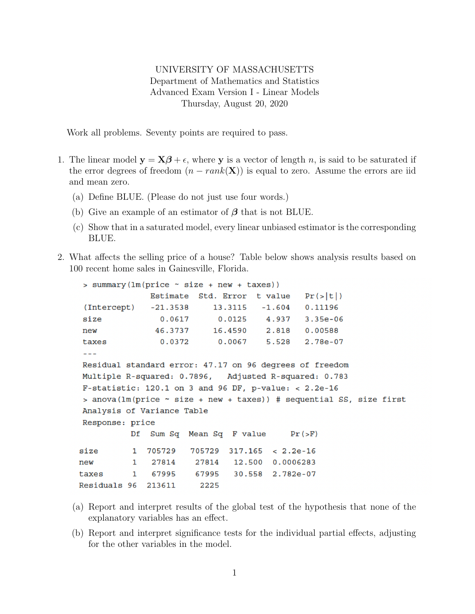## UNIVERSITY OF MASSACHUSETTS Department of Mathematics and Statistics Advanced Exam Version I - Linear Models Thursday, August 20, 2020

Work all problems. Seventy points are required to pass.

- 1. The linear model  $y = X\beta + \epsilon$ , where y is a vector of length n, is said to be saturated if the error degrees of freedom  $(n - rank(X))$  is equal to zero. Assume the errors are iid and mean zero.
	- (a) Define BLUE. (Please do not just use four words.)
	- (b) Give an example of an estimator of  $\beta$  that is not BLUE.
	- (c) Show that in a saturated model, every linear unbiased estimator is the corresponding BLUE.
- 2. What affects the selling price of a house? Table below shows analysis results based on 100 recent home sales in Gainesville, Florida.

```
> summary(lm(price ~ size + new + taxes))Pr(>|t|)Estimate
                            Std. Error
                                          t value
 (Intercept)
                 -21.353813.3115
                                           -1.6040.11196
                                                     3.35e-06size
                   0.0617
                                 0.01254.937
                  46.3737
                               16.4590
                                            2.818
                                                     0.00588
new
                                            5.528
                                                     2.78e-07taxes
                   0.0372
                                 0.0067- - -Residual standard error: 47.17 on 96 degrees of freedom
Multiple R-squared: 0.7896,
                                   Adjusted R-squared: 0.783
F-statistic: 120.1 on 3 and 96 DF, p-value: < 2.2e-16> anova (\text{lm}(\text{price} \sim \text{size} + \text{new} + \text{taxes})) # sequential SS, size first
Analysis of Variance Table
Response: price
            Df
                Sum Sq
                         Mean Sq F value
                                                  Pr(>F)705729
                          705729
                                   317.165
                                             < 2.2e-16size
            \mathbf{1}\mathbf{1}27814
                                    12.500
                                             0.0006283
new
                 27814
            \mathbf{1}67995
                           67995
                                    30.558
                                             2.782e-07
taxes
Residuals 96
               213611
                            2225
```
- (a) Report and interpret results of the global test of the hypothesis that none of the explanatory variables has an effect.
- (b) Report and interpret significance tests for the individual partial effects, adjusting for the other variables in the model.